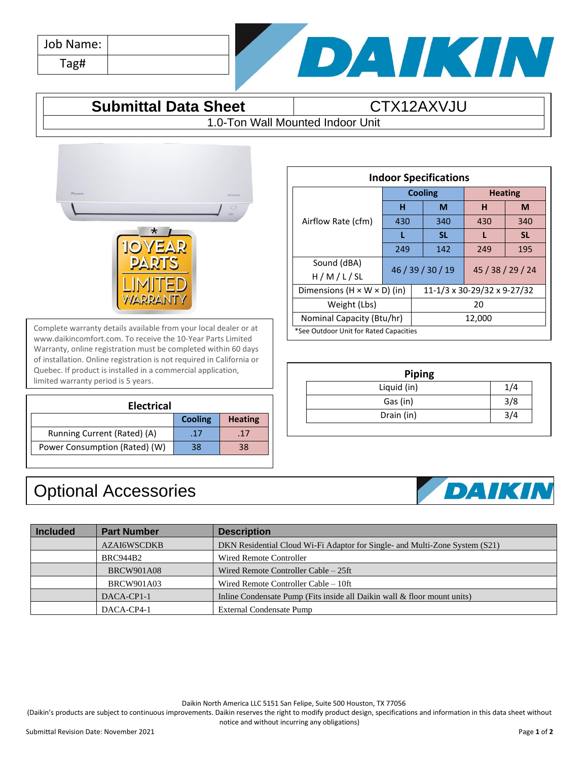| Job Name: |  |
|-----------|--|
| Tag#      |  |



## **Submittal Data Sheet CTX12AXVJU**

1.0-Ton Wall Mounted Indoor Unit



Complete warranty details available from your local dealer or at www.daikincomfort.com. To receive the 10-Year Parts Limited Warranty, online registration must be completed within 60 days of installation. Online registration is not required in California or Quebec. If product is installed in a commercial application, limited warranty period is 5 years.

| <b>Electrical</b>             |                |                |  |  |
|-------------------------------|----------------|----------------|--|--|
|                               | <b>Cooling</b> | <b>Heating</b> |  |  |
| Running Current (Rated) (A)   | .17            | -17            |  |  |
| Power Consumption (Rated) (W) | 38             | 38             |  |  |

Optional Accessories

## **Indoor Specifications** Airflow Rate (cfm) **Cooling Heating H M H M** 430 | 340 | 430 | 340 **L SL L SL** 249 142 249 195 Sound (dBA)  $H / M / L / SL$  46 / 39 / 30 / 19 45 / 38 / 29 / 24 Dimensions (H × W × D) (in) 11-1/3 x 30-29/32 x 9-27/32 Weight (Lbs) 20 Nominal Capacity (Btu/hr) 12,000 \*See Outdoor Unit for Rated Capacities

| <b>Piping</b> |     |
|---------------|-----|
| Liquid (in)   |     |
| Gas (in)      | 3/8 |
| Drain (in)    |     |

## DAIKIN

| <b>Included</b> | <b>Part Number</b> | <b>Description</b>                                                          |
|-----------------|--------------------|-----------------------------------------------------------------------------|
|                 | <b>AZAI6WSCDKB</b> | DKN Residential Cloud Wi-Fi Adaptor for Single- and Multi-Zone System (S21) |
|                 | <b>BRC944B2</b>    | Wired Remote Controller                                                     |
|                 | <b>BRCW901A08</b>  | Wired Remote Controller Cable – 25ft                                        |
|                 | <b>BRCW901A03</b>  | Wired Remote Controller Cable – 10ft                                        |
|                 | DACA-CP1-1         | Inline Condensate Pump (Fits inside all Daikin wall & floor mount units)    |
|                 | DACA-CP4-1         | <b>External Condensate Pump</b>                                             |

Daikin North America LLC 5151 San Felipe, Suite 500 Houston, TX 77056

(Daikin's products are subject to continuous improvements. Daikin reserves the right to modify product design, specifications and information in this data sheet without notice and without incurring any obligations)